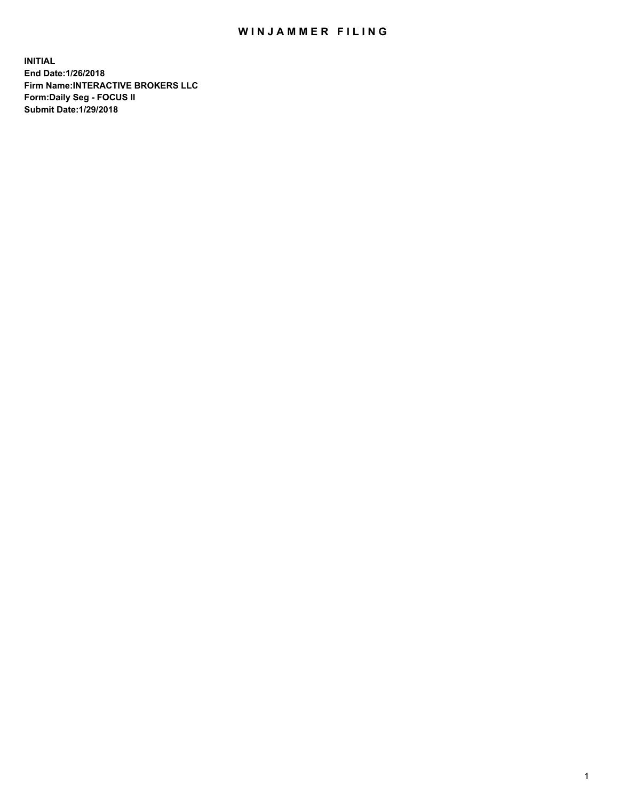## WIN JAMMER FILING

**INITIAL End Date:1/26/2018 Firm Name:INTERACTIVE BROKERS LLC Form:Daily Seg - FOCUS II Submit Date:1/29/2018**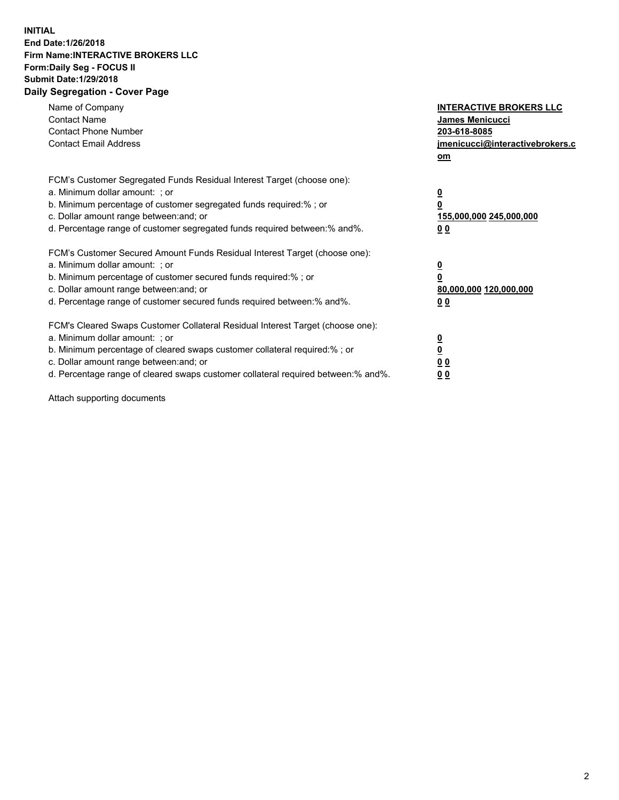## **INITIAL End Date:1/26/2018 Firm Name:INTERACTIVE BROKERS LLC Form:Daily Seg - FOCUS II Submit Date:1/29/2018 Daily Segregation - Cover Page**

| Name of Company<br><b>Contact Name</b><br><b>Contact Phone Number</b><br><b>Contact Email Address</b>                                                                                                                                                                                                                          | <b>INTERACTIVE BROKERS LLC</b><br>James Menicucci<br>203-618-8085<br>jmenicucci@interactivebrokers.c<br>om |
|--------------------------------------------------------------------------------------------------------------------------------------------------------------------------------------------------------------------------------------------------------------------------------------------------------------------------------|------------------------------------------------------------------------------------------------------------|
| FCM's Customer Segregated Funds Residual Interest Target (choose one):<br>a. Minimum dollar amount: ; or<br>b. Minimum percentage of customer segregated funds required:%; or<br>c. Dollar amount range between: and; or<br>d. Percentage range of customer segregated funds required between:% and%.                          | $\overline{\mathbf{0}}$<br>0<br>155,000,000 245,000,000<br>0 <sub>0</sub>                                  |
| FCM's Customer Secured Amount Funds Residual Interest Target (choose one):<br>a. Minimum dollar amount: ; or<br>b. Minimum percentage of customer secured funds required:%; or<br>c. Dollar amount range between: and; or<br>d. Percentage range of customer secured funds required between:% and%.                            | $\overline{\mathbf{0}}$<br>$\overline{\mathbf{0}}$<br>80,000,000 120,000,000<br>00                         |
| FCM's Cleared Swaps Customer Collateral Residual Interest Target (choose one):<br>a. Minimum dollar amount: ; or<br>b. Minimum percentage of cleared swaps customer collateral required:% ; or<br>c. Dollar amount range between: and; or<br>d. Percentage range of cleared swaps customer collateral required between:% and%. | $\overline{\mathbf{0}}$<br>$\overline{\mathbf{0}}$<br>0 <sub>0</sub><br><u>00</u>                          |

Attach supporting documents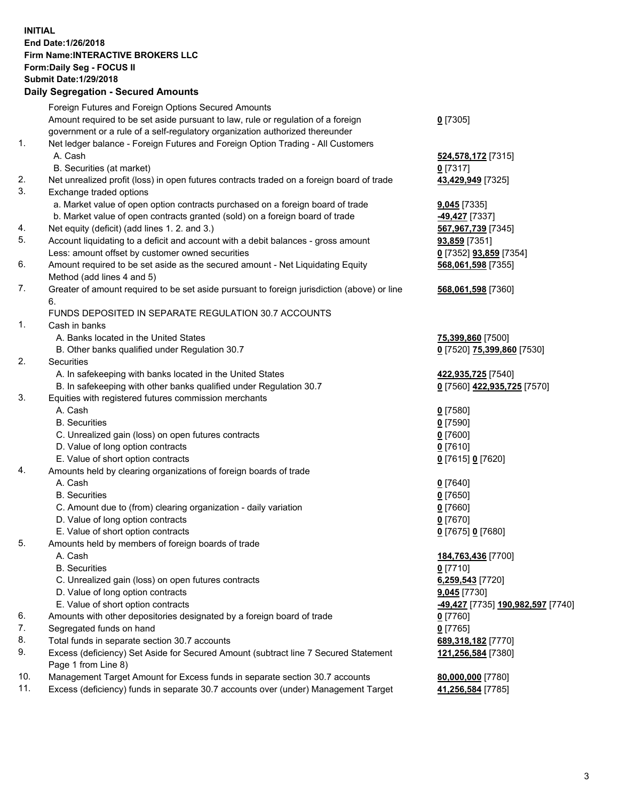## **INITIAL End Date:1/26/2018 Firm Name:INTERACTIVE BROKERS LLC Form:Daily Seg - FOCUS II Submit Date:1/29/2018 Daily Segregation - Secured Amounts**

| Daily Ocglegation - Occarea Anioants                                                        |                                                |
|---------------------------------------------------------------------------------------------|------------------------------------------------|
| Foreign Futures and Foreign Options Secured Amounts                                         |                                                |
| Amount required to be set aside pursuant to law, rule or regulation of a foreign            | $0$ [7305]                                     |
| government or a rule of a self-regulatory organization authorized thereunder                |                                                |
| Net ledger balance - Foreign Futures and Foreign Option Trading - All Customers             |                                                |
| A. Cash                                                                                     | 524,578,172 [7315]                             |
| B. Securities (at market)                                                                   | $0$ [7317]                                     |
| Net unrealized profit (loss) in open futures contracts traded on a foreign board of trade   | 43,429,949 [7325]                              |
| Exchange traded options                                                                     |                                                |
| a. Market value of open option contracts purchased on a foreign board of trade              | $9,045$ [7335]                                 |
| b. Market value of open contracts granted (sold) on a foreign board of trade                | -49,427 [7337]                                 |
| Net equity (deficit) (add lines 1.2. and 3.)                                                | 567,967,739 [7345]                             |
| Account liquidating to a deficit and account with a debit balances - gross amount           | <b>93,859</b> [7351]                           |
| Less: amount offset by customer owned securities                                            | 0 [7352] <b>93,859</b> [7354]                  |
| Amount required to be set aside as the secured amount - Net Liquidating Equity              | 568,061,598 [7355]                             |
| Method (add lines 4 and 5)                                                                  |                                                |
| Greater of amount required to be set aside pursuant to foreign jurisdiction (above) or line | 568,061,598 [7360]                             |
| 6.                                                                                          |                                                |
| FUNDS DEPOSITED IN SEPARATE REGULATION 30.7 ACCOUNTS                                        |                                                |
| Cash in banks                                                                               |                                                |
| A. Banks located in the United States                                                       | 75,399,860 [7500]                              |
| B. Other banks qualified under Regulation 30.7                                              | 0 [7520] 75,399,860 [7530]                     |
| Securities                                                                                  |                                                |
| A. In safekeeping with banks located in the United States                                   | 422,935,725 [7540]                             |
| B. In safekeeping with other banks qualified under Regulation 30.7                          | 0 [7560] 422,935,725 [7570]                    |
| Equities with registered futures commission merchants                                       |                                                |
| A. Cash                                                                                     | $0$ [7580]                                     |
| <b>B.</b> Securities                                                                        | $0$ [7590]                                     |
| C. Unrealized gain (loss) on open futures contracts                                         | $0$ [7600]                                     |
| D. Value of long option contracts                                                           | $0$ [7610]                                     |
| E. Value of short option contracts                                                          | 0 [7615] 0 [7620]                              |
| Amounts held by clearing organizations of foreign boards of trade                           |                                                |
| A. Cash                                                                                     | $0$ [7640]                                     |
| <b>B.</b> Securities                                                                        | $0$ [7650]                                     |
| C. Amount due to (from) clearing organization - daily variation                             | $0$ [7660]                                     |
| D. Value of long option contracts                                                           | $0$ [7670]                                     |
| E. Value of short option contracts                                                          | 0 [7675] 0 [7680]                              |
| Amounts held by members of foreign boards of trade                                          |                                                |
| A. Cash                                                                                     | 184,763,436 [7700]                             |
| <b>B.</b> Securities                                                                        | $0$ [7710]                                     |
| C. Unrealized gain (loss) on open futures contracts                                         | 6,259,543 [7720]                               |
| D. Value of long option contracts                                                           | 9,045 [7730]                                   |
| E. Value of short option contracts                                                          | <mark>-49,427</mark> [7735] 190,982,597 [7740] |
| Amounts with other depositories designated by a foreign board of trade                      | $0$ [7760]                                     |
| Segregated funds on hand                                                                    | $0$ [7765]                                     |
| Total funds in separate section 30.7 accounts                                               | 689,318,182 [7770]                             |
| Excess (deficiency) Set Aside for Secured Amount (subtract line 7 Secured Statement         | 121,256,584 [7380]                             |
| Page 1 from Line 8)                                                                         |                                                |
| Management Target Amount for Excess funds in separate section 30.7 accounts                 | 80,000,000 [7780]                              |
| Excess (deficiency) funds in separate 30.7 accounts over (under) Management Target          | 41,256,584 [7785]                              |
|                                                                                             |                                                |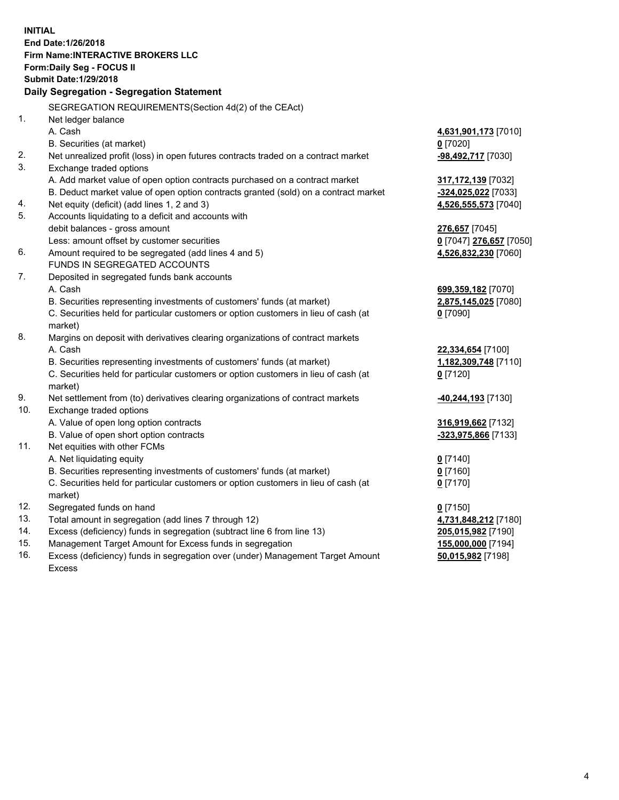**INITIAL End Date:1/26/2018 Firm Name:INTERACTIVE BROKERS LLC Form:Daily Seg - FOCUS II Submit Date:1/29/2018 Daily Segregation - Segregation Statement** SEGREGATION REQUIREMENTS(Section 4d(2) of the CEAct) 1. Net ledger balance A. Cash **4,631,901,173** [7010] B. Securities (at market) **0** [7020] 2. Net unrealized profit (loss) in open futures contracts traded on a contract market **-98,492,717** [7030] 3. Exchange traded options A. Add market value of open option contracts purchased on a contract market **317,172,139** [7032] B. Deduct market value of open option contracts granted (sold) on a contract market **-324,025,022** [7033] 4. Net equity (deficit) (add lines 1, 2 and 3) **4,526,555,573** [7040] 5. Accounts liquidating to a deficit and accounts with debit balances - gross amount **276,657** [7045] Less: amount offset by customer securities **0** [7047] **276,657** [7050] 6. Amount required to be segregated (add lines 4 and 5) **4,526,832,230** [7060] FUNDS IN SEGREGATED ACCOUNTS 7. Deposited in segregated funds bank accounts A. Cash **699,359,182** [7070] B. Securities representing investments of customers' funds (at market) **2,875,145,025** [7080] C. Securities held for particular customers or option customers in lieu of cash (at market) **0** [7090] 8. Margins on deposit with derivatives clearing organizations of contract markets A. Cash **22,334,654** [7100] B. Securities representing investments of customers' funds (at market) **1,182,309,748** [7110] C. Securities held for particular customers or option customers in lieu of cash (at market) **0** [7120] 9. Net settlement from (to) derivatives clearing organizations of contract markets **-40,244,193** [7130] 10. Exchange traded options A. Value of open long option contracts **316,919,662** [7132] B. Value of open short option contracts **-323,975,866** [7133] 11. Net equities with other FCMs A. Net liquidating equity **0** [7140] B. Securities representing investments of customers' funds (at market) **0** [7160] C. Securities held for particular customers or option customers in lieu of cash (at market) **0** [7170] 12. Segregated funds on hand **0** [7150] 13. Total amount in segregation (add lines 7 through 12) **4,731,848,212** [7180] 14. Excess (deficiency) funds in segregation (subtract line 6 from line 13) **205,015,982** [7190] 15. Management Target Amount for Excess funds in segregation **155,000,000** [7194]

16. Excess (deficiency) funds in segregation over (under) Management Target Amount Excess

**50,015,982** [7198]